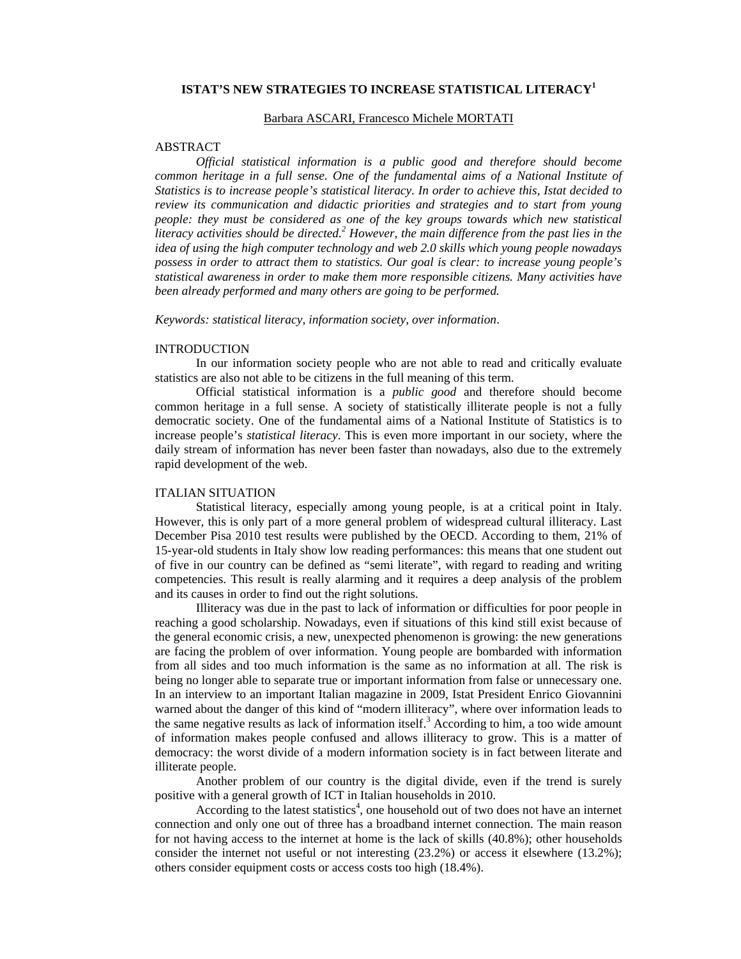## **ISTAT'S NEW STRATEGIES TO INCREASE STATISTICAL LITERACY<sup>1</sup>**

#### Barbara ASCARI, Francesco Michele MORTATI

#### ABSTRACT

*Official statistical information is a public good and therefore should become common heritage in a full sense. One of the fundamental aims of a National Institute of Statistics is to increase people's statistical literacy. In order to achieve this, Istat decided to review its communication and didactic priorities and strategies and to start from young people: they must be considered as one of the key groups towards which new statistical literacy activities should be directed.*<sup>2</sup> However, the main difference from the past lies in the *idea of using the high computer technology and web 2.0 skills which young people nowadays possess in order to attract them to statistics. Our goal is clear: to increase young people's statistical awareness in order to make them more responsible citizens. Many activities have been already performed and many others are going to be performed.*

*Keywords: statistical literacy*, *information society*, *over information*.

#### INTRODUCTION

In our information society people who are not able to read and critically evaluate statistics are also not able to be citizens in the full meaning of this term.

Official statistical information is a *public good* and therefore should become common heritage in a full sense. A society of statistically illiterate people is not a fully democratic society. One of the fundamental aims of a National Institute of Statistics is to increase people's *statistical literacy*. This is even more important in our society, where the daily stream of information has never been faster than nowadays, also due to the extremely rapid development of the web.

## ITALIAN SITUATION

Statistical literacy, especially among young people, is at a critical point in Italy. However, this is only part of a more general problem of widespread cultural illiteracy. Last December Pisa 2010 test results were published by the OECD. According to them, 21% of 15-year-old students in Italy show low reading performances: this means that one student out of five in our country can be defined as "semi literate", with regard to reading and writing competencies. This result is really alarming and it requires a deep analysis of the problem and its causes in order to find out the right solutions.

Illiteracy was due in the past to lack of information or difficulties for poor people in reaching a good scholarship. Nowadays, even if situations of this kind still exist because of the general economic crisis, a new, unexpected phenomenon is growing: the new generations are facing the problem of over information. Young people are bombarded with information from all sides and too much information is the same as no information at all. The risk is being no longer able to separate true or important information from false or unnecessary one. In an interview to an important Italian magazine in 2009, Istat President Enrico Giovannini warned about the danger of this kind of "modern illiteracy", where over information leads to the same negative results as lack of information itself.<sup>3</sup> According to him, a too wide amount of information makes people confused and allows illiteracy to grow. This is a matter of democracy: the worst divide of a modern information society is in fact between literate and illiterate people.

Another problem of our country is the digital divide, even if the trend is surely positive with a general growth of ICT in Italian households in 2010.

According to the latest statistics<sup>4</sup>, one household out of two does not have an internet connection and only one out of three has a broadband internet connection. The main reason for not having access to the internet at home is the lack of skills (40.8%); other households consider the internet not useful or not interesting  $(23.2%)$  or access it elsewhere  $(13.2%)$ ; others consider equipment costs or access costs too high (18.4%).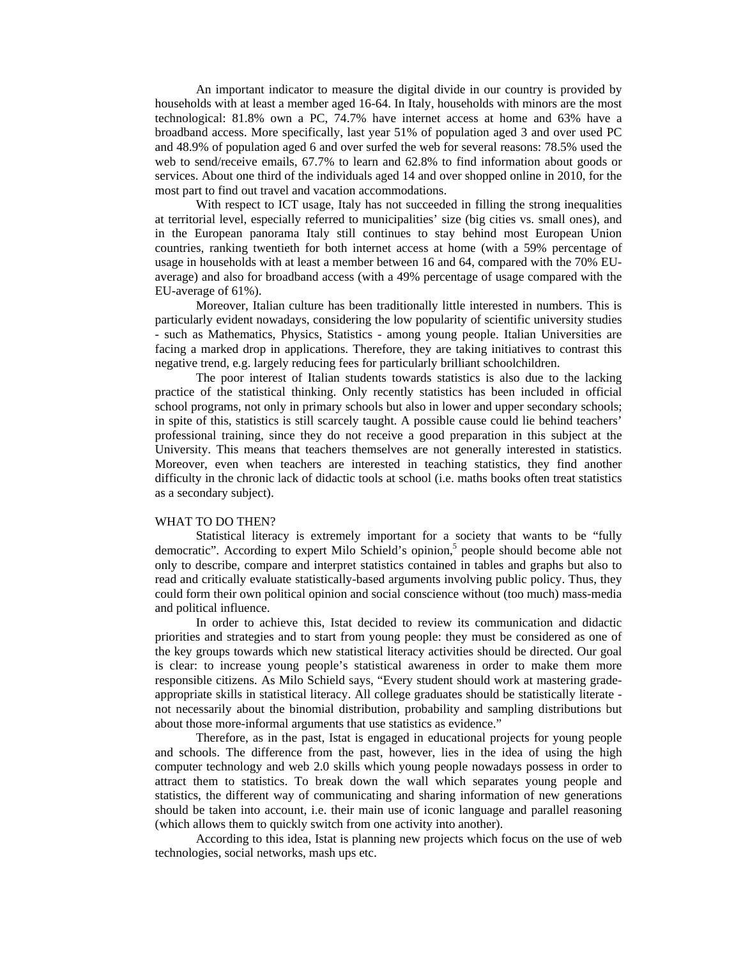An important indicator to measure the digital divide in our country is provided by households with at least a member aged 16-64. In Italy, households with minors are the most technological: 81.8% own a PC, 74.7% have internet access at home and 63% have a broadband access. More specifically, last year 51% of population aged 3 and over used PC and 48.9% of population aged 6 and over surfed the web for several reasons: 78.5% used the web to send/receive emails, 67.7% to learn and 62.8% to find information about goods or services. About one third of the individuals aged 14 and over shopped online in 2010, for the most part to find out travel and vacation accommodations.

With respect to ICT usage, Italy has not succeeded in filling the strong inequalities at territorial level, especially referred to municipalities' size (big cities vs. small ones), and in the European panorama Italy still continues to stay behind most European Union countries, ranking twentieth for both internet access at home (with a 59% percentage of usage in households with at least a member between 16 and 64, compared with the 70% EUaverage) and also for broadband access (with a 49% percentage of usage compared with the EU-average of 61%).

Moreover, Italian culture has been traditionally little interested in numbers. This is particularly evident nowadays, considering the low popularity of scientific university studies - such as Mathematics, Physics, Statistics - among young people. Italian Universities are facing a marked drop in applications. Therefore, they are taking initiatives to contrast this negative trend, e.g. largely reducing fees for particularly brilliant schoolchildren.

The poor interest of Italian students towards statistics is also due to the lacking practice of the statistical thinking. Only recently statistics has been included in official school programs, not only in primary schools but also in lower and upper secondary schools; in spite of this, statistics is still scarcely taught. A possible cause could lie behind teachers' professional training, since they do not receive a good preparation in this subject at the University. This means that teachers themselves are not generally interested in statistics. Moreover, even when teachers are interested in teaching statistics, they find another difficulty in the chronic lack of didactic tools at school (i.e. maths books often treat statistics as a secondary subject).

#### WHAT TO DO THEN?

Statistical literacy is extremely important for a society that wants to be "fully democratic". According to expert Milo Schield's opinion,<sup>5</sup> people should become able not only to describe, compare and interpret statistics contained in tables and graphs but also to read and critically evaluate statistically-based arguments involving public policy. Thus, they could form their own political opinion and social conscience without (too much) mass-media and political influence.

In order to achieve this, Istat decided to review its communication and didactic priorities and strategies and to start from young people: they must be considered as one of the key groups towards which new statistical literacy activities should be directed. Our goal is clear: to increase young people's statistical awareness in order to make them more responsible citizens. As Milo Schield says, "Every student should work at mastering gradeappropriate skills in statistical literacy. All college graduates should be statistically literate not necessarily about the binomial distribution, probability and sampling distributions but about those more-informal arguments that use statistics as evidence."

Therefore, as in the past, Istat is engaged in educational projects for young people and schools. The difference from the past, however, lies in the idea of using the high computer technology and web 2.0 skills which young people nowadays possess in order to attract them to statistics. To break down the wall which separates young people and statistics, the different way of communicating and sharing information of new generations should be taken into account, i.e. their main use of iconic language and parallel reasoning (which allows them to quickly switch from one activity into another).

According to this idea, Istat is planning new projects which focus on the use of web technologies, social networks, mash ups etc.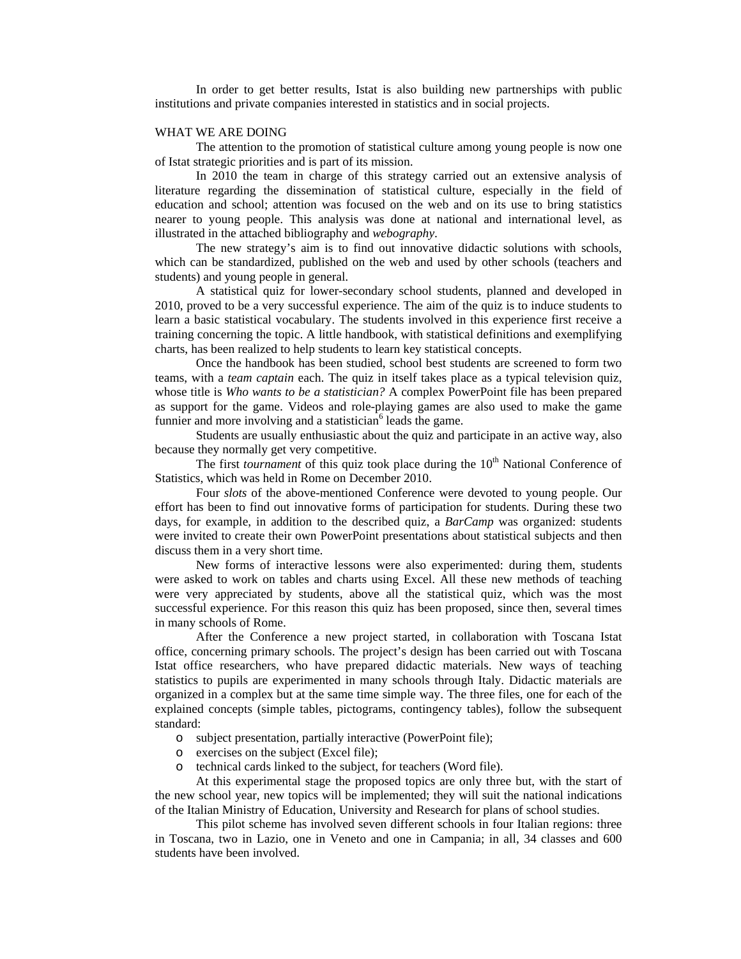In order to get better results, Istat is also building new partnerships with public institutions and private companies interested in statistics and in social projects.

#### WHAT WE ARE DOING

The attention to the promotion of statistical culture among young people is now one of Istat strategic priorities and is part of its mission.

In 2010 the team in charge of this strategy carried out an extensive analysis of literature regarding the dissemination of statistical culture, especially in the field of education and school; attention was focused on the web and on its use to bring statistics nearer to young people. This analysis was done at national and international level, as illustrated in the attached bibliography and *webography*.

The new strategy's aim is to find out innovative didactic solutions with schools, which can be standardized, published on the web and used by other schools (teachers and students) and young people in general.

A statistical quiz for lower-secondary school students, planned and developed in 2010, proved to be a very successful experience. The aim of the quiz is to induce students to learn a basic statistical vocabulary. The students involved in this experience first receive a training concerning the topic. A little handbook, with statistical definitions and exemplifying charts, has been realized to help students to learn key statistical concepts.

Once the handbook has been studied, school best students are screened to form two teams, with a *team captain* each. The quiz in itself takes place as a typical television quiz, whose title is *Who wants to be a statistician?* A complex PowerPoint file has been prepared as support for the game. Videos and role-playing games are also used to make the game funnier and more involving and a statistician<sup>6</sup> leads the game.

Students are usually enthusiastic about the quiz and participate in an active way, also because they normally get very competitive.

The first *tournament* of this quiz took place during the 10<sup>th</sup> National Conference of Statistics, which was held in Rome on December 2010.

Four *slots* of the above-mentioned Conference were devoted to young people. Our effort has been to find out innovative forms of participation for students. During these two days, for example, in addition to the described quiz, a *BarCamp* was organized: students were invited to create their own PowerPoint presentations about statistical subjects and then discuss them in a very short time.

New forms of interactive lessons were also experimented: during them, students were asked to work on tables and charts using Excel. All these new methods of teaching were very appreciated by students, above all the statistical quiz, which was the most successful experience. For this reason this quiz has been proposed, since then, several times in many schools of Rome.

After the Conference a new project started, in collaboration with Toscana Istat office, concerning primary schools. The project's design has been carried out with Toscana Istat office researchers, who have prepared didactic materials. New ways of teaching statistics to pupils are experimented in many schools through Italy. Didactic materials are organized in a complex but at the same time simple way. The three files, one for each of the explained concepts (simple tables, pictograms, contingency tables), follow the subsequent standard:

- o subject presentation, partially interactive (PowerPoint file);
- o exercises on the subject (Excel file);
- o technical cards linked to the subject, for teachers (Word file).

At this experimental stage the proposed topics are only three but, with the start of the new school year, new topics will be implemented; they will suit the national indications of the Italian Ministry of Education, University and Research for plans of school studies.

This pilot scheme has involved seven different schools in four Italian regions: three in Toscana, two in Lazio, one in Veneto and one in Campania; in all, 34 classes and 600 students have been involved.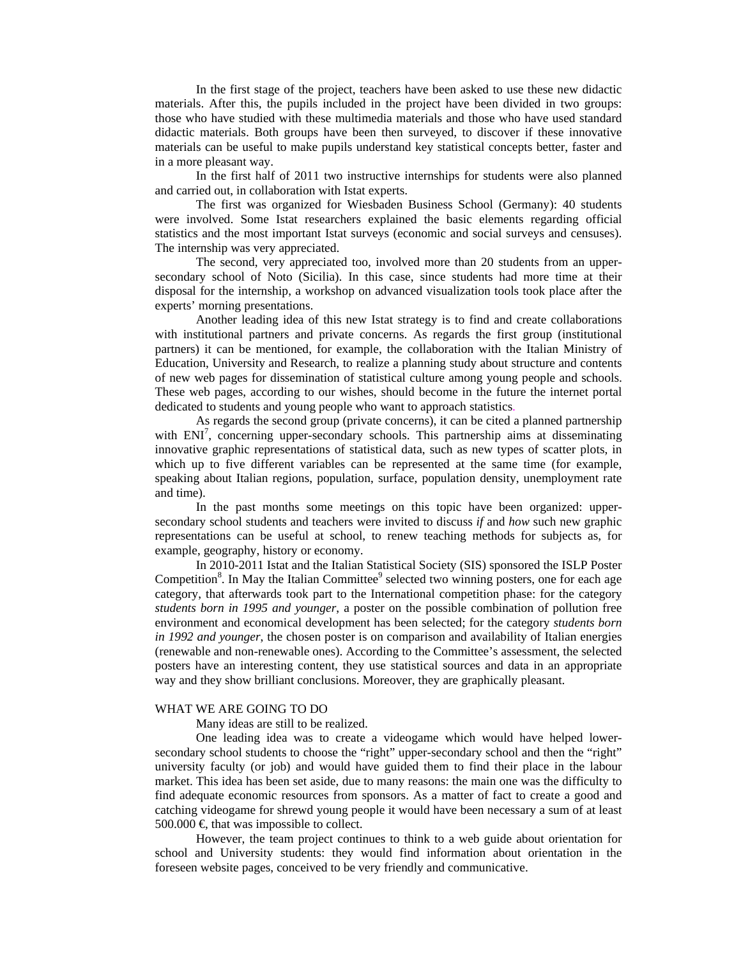In the first stage of the project, teachers have been asked to use these new didactic materials. After this, the pupils included in the project have been divided in two groups: those who have studied with these multimedia materials and those who have used standard didactic materials. Both groups have been then surveyed, to discover if these innovative materials can be useful to make pupils understand key statistical concepts better, faster and in a more pleasant way.

In the first half of 2011 two instructive internships for students were also planned and carried out, in collaboration with Istat experts.

The first was organized for Wiesbaden Business School (Germany): 40 students were involved. Some Istat researchers explained the basic elements regarding official statistics and the most important Istat surveys (economic and social surveys and censuses). The internship was very appreciated.

The second, very appreciated too, involved more than 20 students from an uppersecondary school of Noto (Sicilia). In this case, since students had more time at their disposal for the internship, a workshop on advanced visualization tools took place after the experts' morning presentations.

Another leading idea of this new Istat strategy is to find and create collaborations with institutional partners and private concerns. As regards the first group (institutional partners) it can be mentioned, for example, the collaboration with the Italian Ministry of Education, University and Research, to realize a planning study about structure and contents of new web pages for dissemination of statistical culture among young people and schools. These web pages, according to our wishes, should become in the future the internet portal dedicated to students and young people who want to approach statistics.

As regards the second group (private concerns), it can be cited a planned partnership with ENI<sup>7</sup>, concerning upper-secondary schools. This partnership aims at disseminating innovative graphic representations of statistical data, such as new types of scatter plots, in which up to five different variables can be represented at the same time (for example, speaking about Italian regions, population, surface, population density, unemployment rate and time).

In the past months some meetings on this topic have been organized: uppersecondary school students and teachers were invited to discuss *if* and *how* such new graphic representations can be useful at school, to renew teaching methods for subjects as, for example, geography, history or economy.

In 2010-2011 Istat and the Italian Statistical Society (SIS) sponsored the ISLP Poster Competition<sup>8</sup>. In May the Italian Committee<sup>9</sup> selected two winning posters, one for each age category, that afterwards took part to the International competition phase: for the category *students born in 1995 and younger*, a poster on the possible combination of pollution free environment and economical development has been selected; for the category *students born in 1992 and younger*, the chosen poster is on comparison and availability of Italian energies (renewable and non-renewable ones). According to the Committee's assessment, the selected posters have an interesting content, they use statistical sources and data in an appropriate way and they show brilliant conclusions. Moreover, they are graphically pleasant.

#### WHAT WE ARE GOING TO DO

Many ideas are still to be realized.

One leading idea was to create a videogame which would have helped lowersecondary school students to choose the "right" upper-secondary school and then the "right" university faculty (or job) and would have guided them to find their place in the labour market. This idea has been set aside, due to many reasons: the main one was the difficulty to find adequate economic resources from sponsors. As a matter of fact to create a good and catching videogame for shrewd young people it would have been necessary a sum of at least 500.000  $\in$  that was impossible to collect.

However, the team project continues to think to a web guide about orientation for school and University students: they would find information about orientation in the foreseen website pages, conceived to be very friendly and communicative.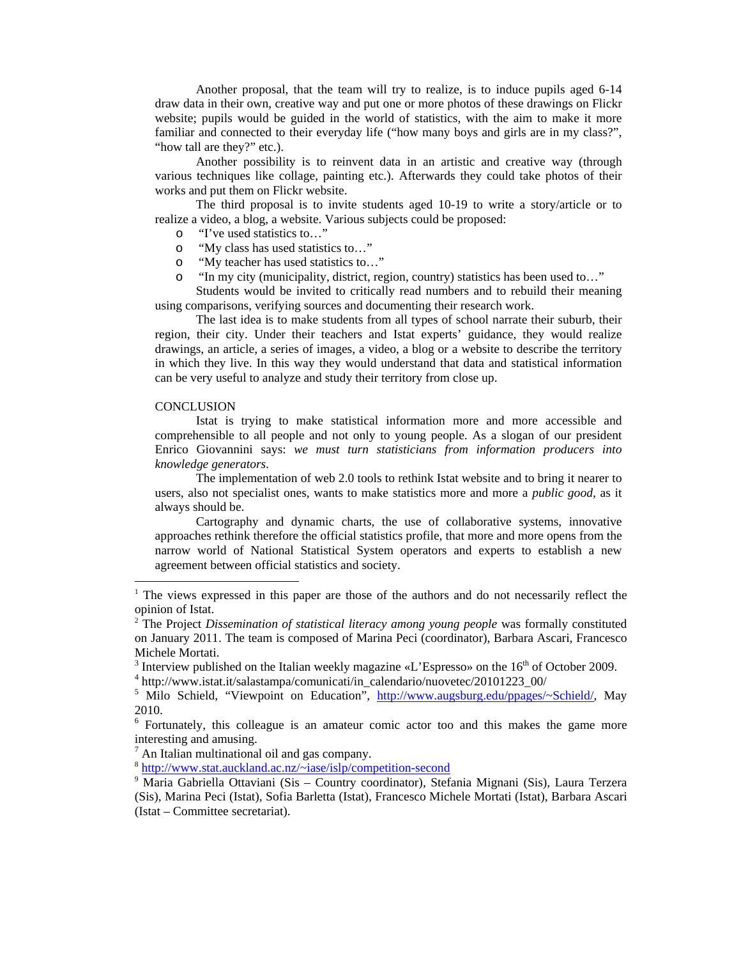Another proposal, that the team will try to realize, is to induce pupils aged 6-14 draw data in their own, creative way and put one or more photos of these drawings on Flickr website; pupils would be guided in the world of statistics, with the aim to make it more familiar and connected to their everyday life ("how many boys and girls are in my class?", "how tall are they?" etc.).

Another possibility is to reinvent data in an artistic and creative way (through various techniques like collage, painting etc.). Afterwards they could take photos of their works and put them on Flickr website.

The third proposal is to invite students aged 10-19 to write a story/article or to realize a video, a blog, a website. Various subjects could be proposed:

- o "I've used statistics to…"
- o "My class has used statistics to…"
- o "My teacher has used statistics to…"
- o "In my city (municipality, district, region, country) statistics has been used to…"

Students would be invited to critically read numbers and to rebuild their meaning using comparisons, verifying sources and documenting their research work.

The last idea is to make students from all types of school narrate their suburb, their region, their city. Under their teachers and Istat experts' guidance, they would realize drawings, an article, a series of images, a video, a blog or a website to describe the territory in which they live. In this way they would understand that data and statistical information can be very useful to analyze and study their territory from close up.

#### **CONCLUSION**

-

Istat is trying to make statistical information more and more accessible and comprehensible to all people and not only to young people. As a slogan of our president Enrico Giovannini says: *we must turn statisticians from information producers into knowledge generators*.

The implementation of web 2.0 tools to rethink Istat website and to bring it nearer to users, also not specialist ones, wants to make statistics more and more a *public good*, as it always should be.

Cartography and dynamic charts, the use of collaborative systems, innovative approaches rethink therefore the official statistics profile, that more and more opens from the narrow world of National Statistical System operators and experts to establish a new agreement between official statistics and society.

 $8$  http://www.stat.auckland.ac.nz/~iase/islp/competition-second

<sup>&</sup>lt;sup>1</sup> The views expressed in this paper are those of the authors and do not necessarily reflect the opinion of Istat.

<sup>&</sup>lt;sup>2</sup> The Project *Dissemination of statistical literacy among young people* was formally constituted on January 2011. The team is composed of Marina Peci (coordinator), Barbara Ascari, Francesco Michele Mortati.

<sup>&</sup>lt;sup>3</sup> Interview published on the Italian weekly magazine «L'Espresso» on the 16<sup>th</sup> of October 2009.

http://www.istat.it/salastampa/comunicati/in\_calendario/nuovetec/20101223\_00/

<sup>&</sup>lt;sup>5</sup> Milo Schield, "Viewpoint on Education", http://www.augsburg.edu/ppages/~Schield/, May 2010.

<sup>&</sup>lt;sup>6</sup> Fortunately, this colleague is an amateur comic actor too and this makes the game more interesting and amusing.<br> $\frac{7}{7}$  An Italian multinational oil and gas company.

<sup>7</sup>

<sup>9</sup> Maria Gabriella Ottaviani (Sis – Country coordinator), Stefania Mignani (Sis), Laura Terzera (Sis), Marina Peci (Istat), Sofia Barletta (Istat), Francesco Michele Mortati (Istat), Barbara Ascari (Istat – Committee secretariat).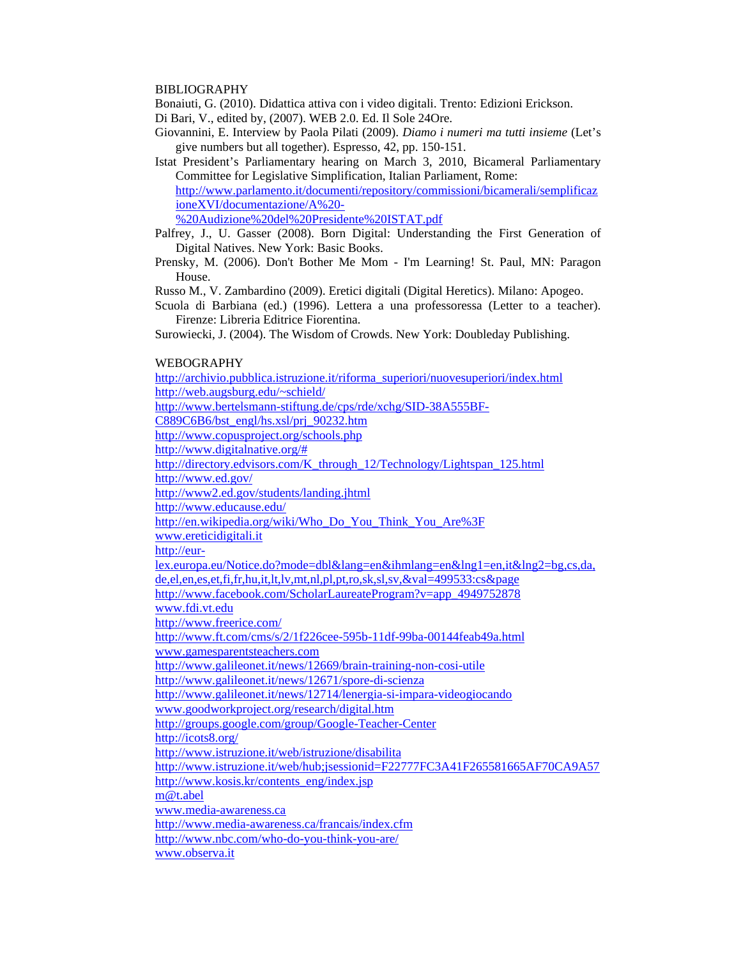## BIBLIOGRAPHY

Bonaiuti, G. (2010). Didattica attiva con i video digitali. Trento: Edizioni Erickson.

Di Bari, V., edited by, (2007). WEB 2.0. Ed. Il Sole 24Ore.

- Giovannini, E. Interview by Paola Pilati (2009). *Diamo i numeri ma tutti insieme* (Let's give numbers but all together). Espresso, 42, pp. 150-151.
- Istat President's Parliamentary hearing on March 3, 2010, Bicameral Parliamentary Committee for Legislative Simplification, Italian Parliament, Rome: http://www.parlamento.it/documenti/repository/commissioni/bicamerali/semplificaz ioneXVI/documentazione/A%20-

%20Audizione%20del%20Presidente%20ISTAT.pdf

- Palfrey, J., U. Gasser (2008). Born Digital: Understanding the First Generation of Digital Natives. New York: Basic Books.
- Prensky, M. (2006). Don't Bother Me Mom I'm Learning! St. Paul, MN: Paragon House.

Russo M., V. Zambardino (2009). Eretici digitali (Digital Heretics). Milano: Apogeo.

Scuola di Barbiana (ed.) (1996). Lettera a una professoressa (Letter to a teacher). Firenze: Libreria Editrice Fiorentina.

Surowiecki, J. (2004). The Wisdom of Crowds. New York: Doubleday Publishing.

# WEBOGRAPHY

http://archivio.pubblica.istruzione.it/riforma\_superiori/nuovesuperiori/index.html http://web.augsburg.edu/~schield/ http://www.bertelsmann-stiftung.de/cps/rde/xchg/SID-38A555BF-C889C6B6/bst\_engl/hs.xsl/prj\_90232.htm http://www.copusproject.org/schools.php http://www.digitalnative.org/# http://directory.edvisors.com/K\_through\_12/Technology/Lightspan\_125.html http://www.ed.gov/ http://www2.ed.gov/students/landing.jhtml http://www.educause.edu/ http://en.wikipedia.org/wiki/Who\_Do\_You\_Think\_You\_Are%3F www.ereticidigitali.it http://eurlex.europa.eu/Notice.do?mode=dbl&lang=en&ihmlang=en&lng1=en,it&lng2=bg,cs,da, de,el,en,es,et,fi,fr,hu,it,lt,lv,mt,nl,pl,pt,ro,sk,sl,sv,&val=499533:cs&page http://www.facebook.com/ScholarLaureateProgram?v=app\_4949752878 www.fdi.vt.edu http://www.freerice.com/ http://www.ft.com/cms/s/2/1f226cee-595b-11df-99ba-00144feab49a.html www.gamesparentsteachers.com http://www.galileonet.it/news/12669/brain-training-non-cosi-utile http://www.galileonet.it/news/12671/spore-di-scienza http://www.galileonet.it/news/12714/lenergia-si-impara-videogiocando www.goodworkproject.org/research/digital.htm http://groups.google.com/group/Google-Teacher-Center http://icots8.org/ http://www.istruzione.it/web/istruzione/disabilita http://www.istruzione.it/web/hub;jsessionid=F22777FC3A41F265581665AF70CA9A57 http://www.kosis.kr/contents\_eng/index.jsp m@t.abel www.media-awareness.ca http://www.media-awareness.ca/francais/index.cfm http://www.nbc.com/who-do-you-think-you-are/ www.observa.it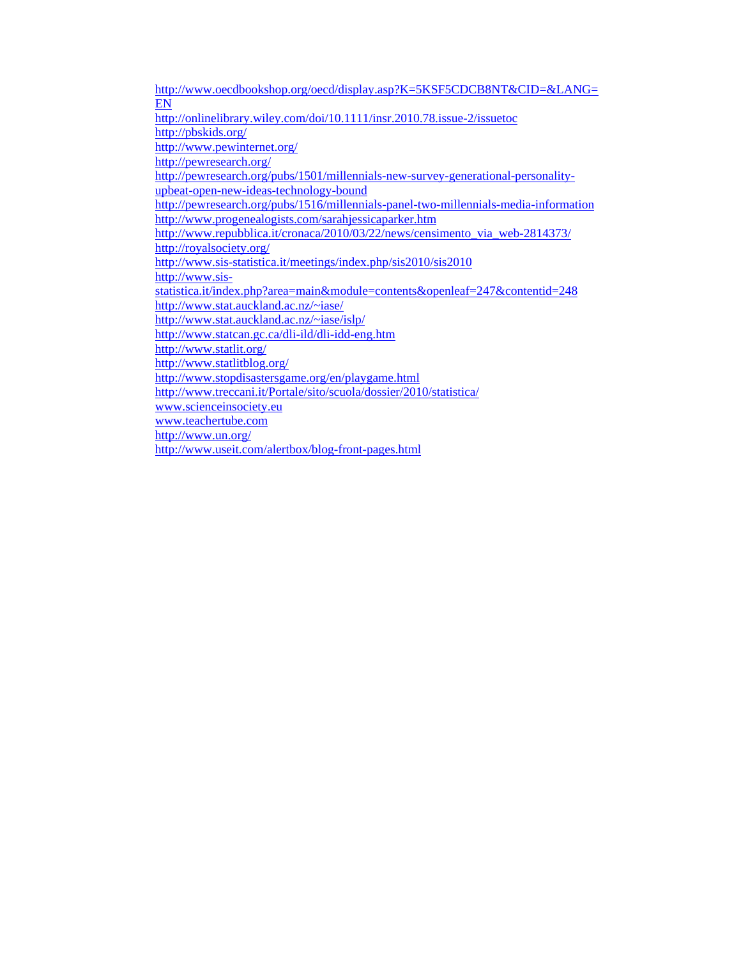http://www.oecdbookshop.org/oecd/display.asp?K=5KSF5CDCB8NT&CID=&LANG= EN http://onlinelibrary.wiley.com/doi/10.1111/insr.2010.78.issue-2/issuetoc http://pbskids.org/ http://www.pewinternet.org/ http://pewresearch.org/ http://pewresearch.org/pubs/1501/millennials-new-survey-generational-personalityupbeat-open-new-ideas-technology-bound http://pewresearch.org/pubs/1516/millennials-panel-two-millennials-media-information http://www.progenealogists.com/sarahjessicaparker.htm http://www.repubblica.it/cronaca/2010/03/22/news/censimento\_via\_web-2814373/ http://royalsociety.org/ http://www.sis-statistica.it/meetings/index.php/sis2010/sis2010 http://www.sisstatistica.it/index.php?area=main&module=contents&openleaf=247&contentid=248 http://www.stat.auckland.ac.nz/~iase/ http://www.stat.auckland.ac.nz/~iase/islp/ http://www.statcan.gc.ca/dli-ild/dli-idd-eng.htm http://www.statlit.org/ http://www.statlitblog.org/ http://www.stopdisastersgame.org/en/playgame.html http://www.treccani.it/Portale/sito/scuola/dossier/2010/statistica/ www.scienceinsociety.eu www.teachertube.com http://www.un.org/ http://www.useit.com/alertbox/blog-front-pages.html